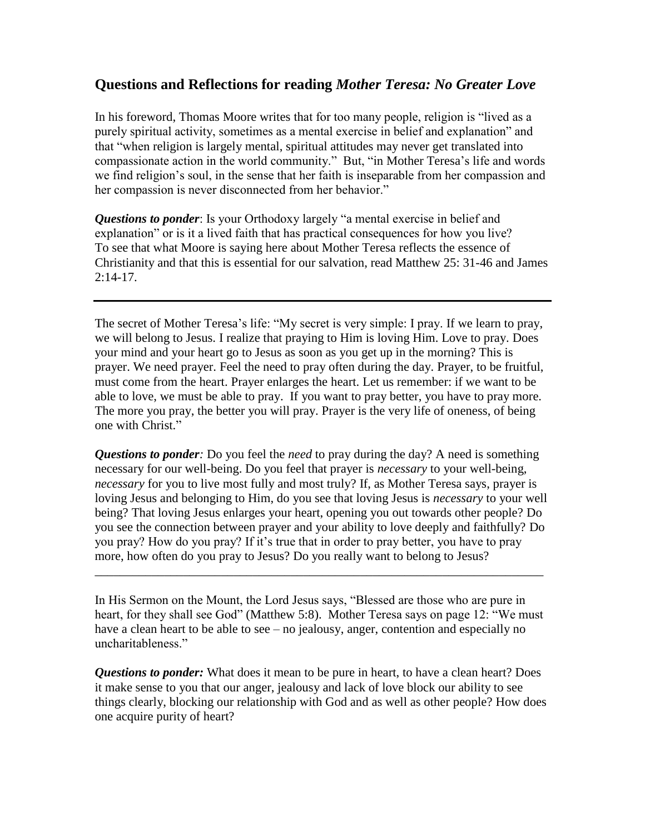## **Questions and Reflections for reading** *Mother Teresa: No Greater Love*

In his foreword, Thomas Moore writes that for too many people, religion is "lived as a purely spiritual activity, sometimes as a mental exercise in belief and explanation" and that "when religion is largely mental, spiritual attitudes may never get translated into compassionate action in the world community." But, "in Mother Teresa's life and words we find religion's soul, in the sense that her faith is inseparable from her compassion and her compassion is never disconnected from her behavior."

*Questions to ponder*: Is your Orthodoxy largely "a mental exercise in belief and explanation" or is it a lived faith that has practical consequences for how you live? To see that what Moore is saying here about Mother Teresa reflects the essence of Christianity and that this is essential for our salvation, read Matthew 25: 31-46 and James 2:14-17.

The secret of Mother Teresa's life: "My secret is very simple: I pray. If we learn to pray, we will belong to Jesus. I realize that praying to Him is loving Him. Love to pray. Does your mind and your heart go to Jesus as soon as you get up in the morning? This is prayer. We need prayer. Feel the need to pray often during the day. Prayer, to be fruitful, must come from the heart. Prayer enlarges the heart. Let us remember: if we want to be able to love, we must be able to pray. If you want to pray better, you have to pray more. The more you pray, the better you will pray. Prayer is the very life of oneness, of being one with Christ."

*Questions to ponder:* Do you feel the *need* to pray during the day? A need is something necessary for our well-being. Do you feel that prayer is *necessary* to your well-being, *necessary* for you to live most fully and most truly? If, as Mother Teresa says, prayer is loving Jesus and belonging to Him, do you see that loving Jesus is *necessary* to your well being? That loving Jesus enlarges your heart, opening you out towards other people? Do you see the connection between prayer and your ability to love deeply and faithfully? Do you pray? How do you pray? If it's true that in order to pray better, you have to pray more, how often do you pray to Jesus? Do you really want to belong to Jesus?

In His Sermon on the Mount, the Lord Jesus says, "Blessed are those who are pure in heart, for they shall see God" (Matthew 5:8). Mother Teresa says on page 12: "We must have a clean heart to be able to see – no jealousy, anger, contention and especially no uncharitableness."

\_\_\_\_\_\_\_\_\_\_\_\_\_\_\_\_\_\_\_\_\_\_\_\_\_\_\_\_\_\_\_\_\_\_\_\_\_\_\_\_\_\_\_\_\_\_\_\_\_\_\_\_\_\_\_\_\_\_\_\_\_\_\_\_\_\_\_\_\_\_\_

*Questions to ponder:* What does it mean to be pure in heart, to have a clean heart? Does it make sense to you that our anger, jealousy and lack of love block our ability to see things clearly, blocking our relationship with God and as well as other people? How does one acquire purity of heart?